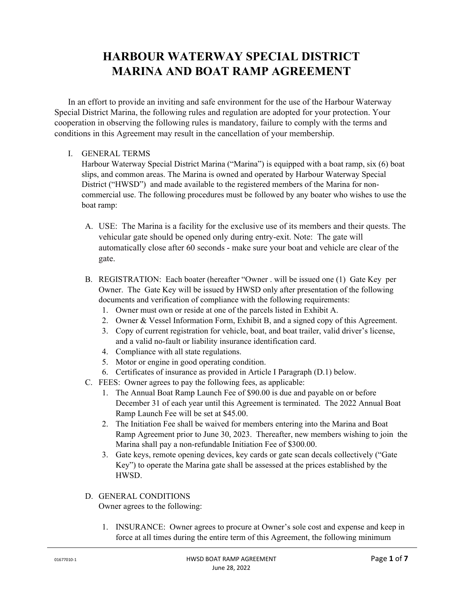# **HARBOUR WATERWAY SPECIAL DISTRICT MARINA AND BOAT RAMP AGREEMENT**

In an effort to provide an inviting and safe environment for the use of the Harbour Waterway Special District Marina, the following rules and regulation are adopted for your protection. Your cooperation in observing the following rules is mandatory, failure to comply with the terms and conditions in this Agreement may result in the cancellation of your membership.

### I. GENERAL TERMS

Harbour Waterway Special District Marina ("Marina") is equipped with a boat ramp, six (6) boat slips, and common areas. The Marina is owned and operated by Harbour Waterway Special District ("HWSD") and made available to the registered members of the Marina for noncommercial use. The following procedures must be followed by any boater who wishes to use the boat ramp:

- A. USE: The Marina is a facility for the exclusive use of its members and their quests. The vehicular gate should be opened only during entry-exit. Note: The gate will automatically close after 60 seconds - make sure your boat and vehicle are clear of the gate.
- B. REGISTRATION: Each boater (hereafter "Owner . will be issued one (1) Gate Key per Owner. The Gate Key will be issued by HWSD only after presentation of the following documents and verification of compliance with the following requirements:
	- 1. Owner must own or reside at one of the parcels listed in Exhibit A.
	- 2. Owner & Vessel Information Form, Exhibit B, and a signed copy of this Agreement.
	- 3. Copy of current registration for vehicle, boat, and boat trailer, valid driver's license, and a valid no-fault or liability insurance identification card.
	- 4. Compliance with all state regulations.
	- 5. Motor or engine in good operating condition.
	- 6. Certificates of insurance as provided in Article I Paragraph (D.1) below.
- C. FEES: Owner agrees to pay the following fees, as applicable:
	- 1. The Annual Boat Ramp Launch Fee of \$90.00 is due and payable on or before December 31 of each year until this Agreement is terminated. The 2022 Annual Boat Ramp Launch Fee will be set at \$45.00.
	- 2. The Initiation Fee shall be waived for members entering into the Marina and Boat Ramp Agreement prior to June 30, 2023. Thereafter, new members wishing to join the Marina shall pay a non-refundable Initiation Fee of \$300.00.
	- 3. Gate keys, remote opening devices, key cards or gate scan decals collectively ("Gate Key") to operate the Marina gate shall be assessed at the prices established by the HWSD.

### D. GENERAL CONDITIONS

Owner agrees to the following:

1. INSURANCE: Owner agrees to procure at Owner's sole cost and expense and keep in force at all times during the entire term of this Agreement, the following minimum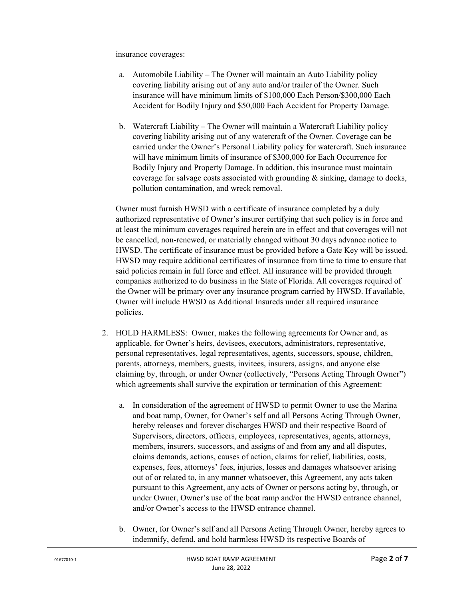#### insurance coverages:

- a. Automobile Liability The Owner will maintain an Auto Liability policy covering liability arising out of any auto and/or trailer of the Owner. Such insurance will have minimum limits of \$100,000 Each Person/\$300,000 Each Accident for Bodily Injury and \$50,000 Each Accident for Property Damage.
- b. Watercraft Liability The Owner will maintain a Watercraft Liability policy covering liability arising out of any watercraft of the Owner. Coverage can be carried under the Owner's Personal Liability policy for watercraft. Such insurance will have minimum limits of insurance of \$300,000 for Each Occurrence for Bodily Injury and Property Damage. In addition, this insurance must maintain coverage for salvage costs associated with grounding  $&$  sinking, damage to docks, pollution contamination, and wreck removal.

Owner must furnish HWSD with a certificate of insurance completed by a duly authorized representative of Owner's insurer certifying that such policy is in force and at least the minimum coverages required herein are in effect and that coverages will not be cancelled, non-renewed, or materially changed without 30 days advance notice to HWSD. The certificate of insurance must be provided before a Gate Key will be issued. HWSD may require additional certificates of insurance from time to time to ensure that said policies remain in full force and effect. All insurance will be provided through companies authorized to do business in the State of Florida. All coverages required of the Owner will be primary over any insurance program carried by HWSD. If available, Owner will include HWSD as Additional Insureds under all required insurance policies.

- 2. HOLD HARMLESS: Owner, makes the following agreements for Owner and, as applicable, for Owner's heirs, devisees, executors, administrators, representative, personal representatives, legal representatives, agents, successors, spouse, children, parents, attorneys, members, guests, invitees, insurers, assigns, and anyone else claiming by, through, or under Owner (collectively, "Persons Acting Through Owner") which agreements shall survive the expiration or termination of this Agreement:
	- a. In consideration of the agreement of HWSD to permit Owner to use the Marina and boat ramp, Owner, for Owner's self and all Persons Acting Through Owner, hereby releases and forever discharges HWSD and their respective Board of Supervisors, directors, officers, employees, representatives, agents, attorneys, members, insurers, successors, and assigns of and from any and all disputes, claims demands, actions, causes of action, claims for relief, liabilities, costs, expenses, fees, attorneys' fees, injuries, losses and damages whatsoever arising out of or related to, in any manner whatsoever, this Agreement, any acts taken pursuant to this Agreement, any acts of Owner or persons acting by, through, or under Owner, Owner's use of the boat ramp and/or the HWSD entrance channel, and/or Owner's access to the HWSD entrance channel.
	- b. Owner, for Owner's self and all Persons Acting Through Owner, hereby agrees to indemnify, defend, and hold harmless HWSD its respective Boards of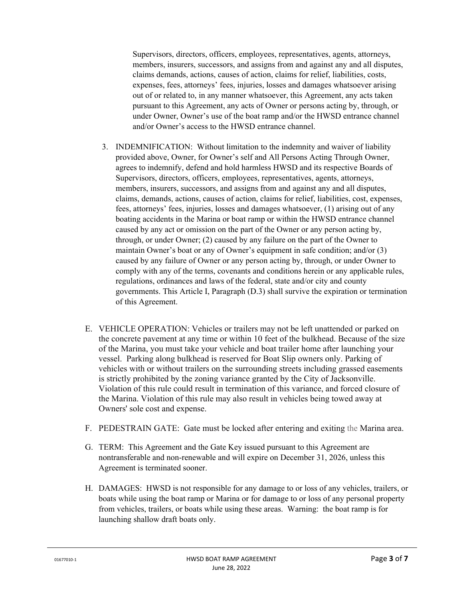Supervisors, directors, officers, employees, representatives, agents, attorneys, members, insurers, successors, and assigns from and against any and all disputes, claims demands, actions, causes of action, claims for relief, liabilities, costs, expenses, fees, attorneys' fees, injuries, losses and damages whatsoever arising out of or related to, in any manner whatsoever, this Agreement, any acts taken pursuant to this Agreement, any acts of Owner or persons acting by, through, or under Owner, Owner's use of the boat ramp and/or the HWSD entrance channel and/or Owner's access to the HWSD entrance channel.

- 3. INDEMNIFICATION: Without limitation to the indemnity and waiver of liability provided above, Owner, for Owner's self and All Persons Acting Through Owner, agrees to indemnify, defend and hold harmless HWSD and its respective Boards of Supervisors, directors, officers, employees, representatives, agents, attorneys, members, insurers, successors, and assigns from and against any and all disputes, claims, demands, actions, causes of action, claims for relief, liabilities, cost, expenses, fees, attorneys' fees, injuries, losses and damages whatsoever, (1) arising out of any boating accidents in the Marina or boat ramp or within the HWSD entrance channel caused by any act or omission on the part of the Owner or any person acting by, through, or under Owner; (2) caused by any failure on the part of the Owner to maintain Owner's boat or any of Owner's equipment in safe condition; and/or (3) caused by any failure of Owner or any person acting by, through, or under Owner to comply with any of the terms, covenants and conditions herein or any applicable rules, regulations, ordinances and laws of the federal, state and/or city and county governments. This Article I, Paragraph (D.3) shall survive the expiration or termination of this Agreement.
- E. VEHICLE OPERATION: Vehicles or trailers may not be left unattended or parked on the concrete pavement at any time or within 10 feet of the bulkhead. Because of the size of the Marina, you must take your vehicle and boat trailer home after launching your vessel. Parking along bulkhead is reserved for Boat Slip owners only. Parking of vehicles with or without trailers on the surrounding streets including grassed easements is strictly prohibited by the zoning variance granted by the City of Jacksonville. Violation of this rule could result in termination of this variance, and forced closure of the Marina. Violation of this rule may also result in vehicles being towed away at Owners' sole cost and expense.
- F. PEDESTRAIN GATE: Gate must be locked after entering and exiting the Marina area.
- G. TERM: This Agreement and the Gate Key issued pursuant to this Agreement are nontransferable and non-renewable and will expire on December 31, 2026, unless this Agreement is terminated sooner.
- H. DAMAGES: HWSD is not responsible for any damage to or loss of any vehicles, trailers, or boats while using the boat ramp or Marina or for damage to or loss of any personal property from vehicles, trailers, or boats while using these areas. Warning: the boat ramp is for launching shallow draft boats only.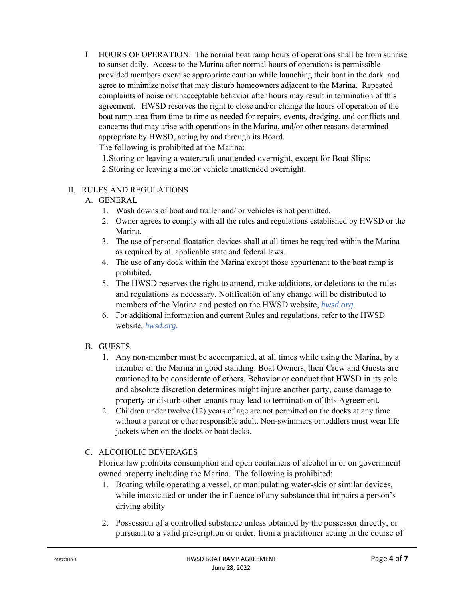I. HOURS OF OPERATION: The normal boat ramp hours of operations shall be from sunrise to sunset daily. Access to the Marina after normal hours of operations is permissible provided members exercise appropriate caution while launching their boat in the dark and agree to minimize noise that may disturb homeowners adjacent to the Marina. Repeated complaints of noise or unacceptable behavior after hours may result in termination of this agreement. HWSD reserves the right to close and/or change the hours of operation of the boat ramp area from time to time as needed for repairs, events, dredging, and conflicts and concerns that may arise with operations in the Marina, and/or other reasons determined appropriate by HWSD, acting by and through its Board.

The following is prohibited at the Marina:

1.Storing or leaving a watercraft unattended overnight, except for Boat Slips;

2.Storing or leaving a motor vehicle unattended overnight.

### II. RULES AND REGULATIONS

- A. GENERAL
	- 1. Wash downs of boat and trailer and/ or vehicles is not permitted.
	- 2. Owner agrees to comply with all the rules and regulations established by HWSD or the Marina.
	- 3. The use of personal floatation devices shall at all times be required within the Marina as required by all applicable state and federal laws.
	- 4. The use of any dock within the Marina except those appurtenant to the boat ramp is prohibited.
	- 5. The HWSD reserves the right to amend, make additions, or deletions to the rules and regulations as necessary. Notification of any change will be distributed to members of the Marina and posted on the HWSD website, *hwsd.org*.
	- 6. For additional information and current Rules and regulations, refer to the HWSD website, *hwsd.org.*

### B. GUESTS

- 1. Any non-member must be accompanied, at all times while using the Marina, by a member of the Marina in good standing. Boat Owners, their Crew and Guests are cautioned to be considerate of others. Behavior or conduct that HWSD in its sole and absolute discretion determines might injure another party, cause damage to property or disturb other tenants may lead to termination of this Agreement.
- 2. Children under twelve (12) years of age are not permitted on the docks at any time without a parent or other responsible adult. Non-swimmers or toddlers must wear life jackets when on the docks or boat decks.

### C. ALCOHOLIC BEVERAGES

Florida law prohibits consumption and open containers of alcohol in or on government owned property including the Marina. The following is prohibited:

- 1. Boating while operating a vessel, or manipulating water-skis or similar devices, while intoxicated or under the influence of any substance that impairs a person's driving ability
- 2. Possession of a controlled substance unless obtained by the possessor directly, or pursuant to a valid prescription or order, from a practitioner acting in the course of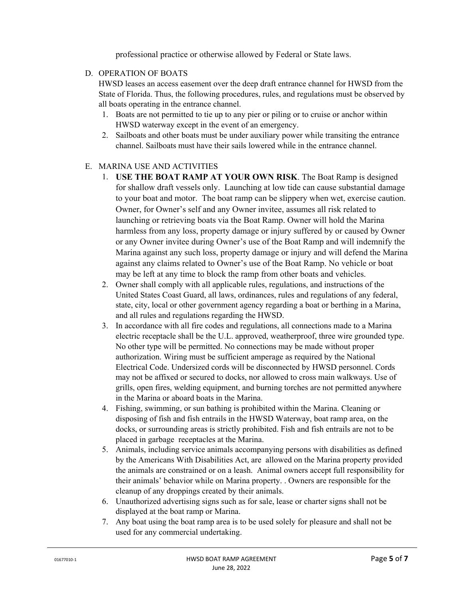professional practice or otherwise allowed by Federal or State laws.

### D. OPERATION OF BOATS

HWSD leases an access easement over the deep draft entrance channel for HWSD from the State of Florida. Thus, the following procedures, rules, and regulations must be observed by all boats operating in the entrance channel.

- 1. Boats are not permitted to tie up to any pier or piling or to cruise or anchor within HWSD waterway except in the event of an emergency.
- 2. Sailboats and other boats must be under auxiliary power while transiting the entrance channel. Sailboats must have their sails lowered while in the entrance channel.

### E. MARINA USE AND ACTIVITIES

- 1. **USE THE BOAT RAMP AT YOUR OWN RISK**. The Boat Ramp is designed for shallow draft vessels only. Launching at low tide can cause substantial damage to your boat and motor. The boat ramp can be slippery when wet, exercise caution. Owner, for Owner's self and any Owner invitee, assumes all risk related to launching or retrieving boats via the Boat Ramp. Owner will hold the Marina harmless from any loss, property damage or injury suffered by or caused by Owner or any Owner invitee during Owner's use of the Boat Ramp and will indemnify the Marina against any such loss, property damage or injury and will defend the Marina against any claims related to Owner's use of the Boat Ramp. No vehicle or boat may be left at any time to block the ramp from other boats and vehicles.
- 2. Owner shall comply with all applicable rules, regulations, and instructions of the United States Coast Guard, all laws, ordinances, rules and regulations of any federal, state, city, local or other government agency regarding a boat or berthing in a Marina, and all rules and regulations regarding the HWSD.
- 3. In accordance with all fire codes and regulations, all connections made to a Marina electric receptacle shall be the U.L. approved, weatherproof, three wire grounded type. No other type will be permitted. No connections may be made without proper authorization. Wiring must be sufficient amperage as required by the National Electrical Code. Undersized cords will be disconnected by HWSD personnel. Cords may not be affixed or secured to docks, nor allowed to cross main walkways. Use of grills, open fires, welding equipment, and burning torches are not permitted anywhere in the Marina or aboard boats in the Marina.
- 4. Fishing, swimming, or sun bathing is prohibited within the Marina. Cleaning or disposing of fish and fish entrails in the HWSD Waterway, boat ramp area, on the docks, or surrounding areas is strictly prohibited. Fish and fish entrails are not to be placed in garbage receptacles at the Marina.
- 5. Animals, including service animals accompanying persons with disabilities as defined by the Americans With Disabilities Act, are allowed on the Marina property provided the animals are constrained or on a leash. Animal owners accept full responsibility for their animals' behavior while on Marina property. . Owners are responsible for the cleanup of any droppings created by their animals.
- 6. Unauthorized advertising signs such as for sale, lease or charter signs shall not be displayed at the boat ramp or Marina.
- 7. Any boat using the boat ramp area is to be used solely for pleasure and shall not be used for any commercial undertaking.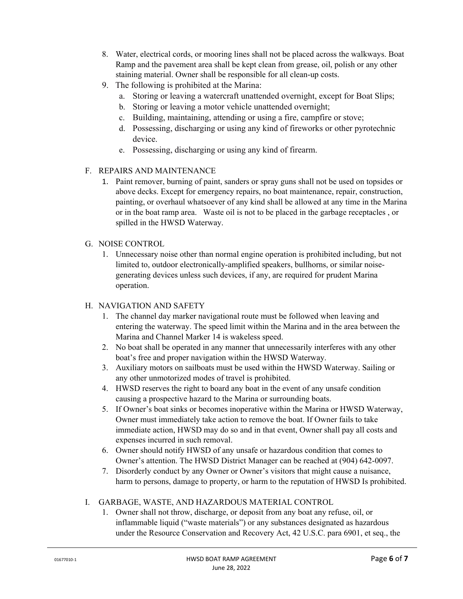- 8. Water, electrical cords, or mooring lines shall not be placed across the walkways. Boat Ramp and the pavement area shall be kept clean from grease, oil, polish or any other staining material. Owner shall be responsible for all clean-up costs.
- 9. The following is prohibited at the Marina:
	- a. Storing or leaving a watercraft unattended overnight, except for Boat Slips;
	- b. Storing or leaving a motor vehicle unattended overnight;
	- c. Building, maintaining, attending or using a fire, campfire or stove;
	- d. Possessing, discharging or using any kind of fireworks or other pyrotechnic device.
	- e. Possessing, discharging or using any kind of firearm.

### F. REPAIRS AND MAINTENANCE

1. Paint remover, burning of paint, sanders or spray guns shall not be used on topsides or above decks. Except for emergency repairs, no boat maintenance, repair, construction, painting, or overhaul whatsoever of any kind shall be allowed at any time in the Marina or in the boat ramp area. Waste oil is not to be placed in the garbage receptacles , or spilled in the HWSD Waterway.

### G. NOISE CONTROL

1. Unnecessary noise other than normal engine operation is prohibited including, but not limited to, outdoor electronically-amplified speakers, bullhorns, or similar noisegenerating devices unless such devices, if any, are required for prudent Marina operation.

### H. NAVIGATION AND SAFETY

- 1. The channel day marker navigational route must be followed when leaving and entering the waterway. The speed limit within the Marina and in the area between the Marina and Channel Marker 14 is wakeless speed.
- 2. No boat shall be operated in any manner that unnecessarily interferes with any other boat's free and proper navigation within the HWSD Waterway.
- 3. Auxiliary motors on sailboats must be used within the HWSD Waterway. Sailing or any other unmotorized modes of travel is prohibited.
- 4. HWSD reserves the right to board any boat in the event of any unsafe condition causing a prospective hazard to the Marina or surrounding boats.
- 5. If Owner's boat sinks or becomes inoperative within the Marina or HWSD Waterway, Owner must immediately take action to remove the boat. If Owner fails to take immediate action, HWSD may do so and in that event, Owner shall pay all costs and expenses incurred in such removal.
- 6. Owner should notify HWSD of any unsafe or hazardous condition that comes to Owner's attention. The HWSD District Manager can be reached at (904) 642-0097.
- 7. Disorderly conduct by any Owner or Owner's visitors that might cause a nuisance, harm to persons, damage to property, or harm to the reputation of HWSD Is prohibited.

### I. GARBAGE, WASTE, AND HAZARDOUS MATERIAL CONTROL

1. Owner shall not throw, discharge, or deposit from any boat any refuse, oil, or inflammable liquid ("waste materials") or any substances designated as hazardous under the Resource Conservation and Recovery Act, 42 U.S.C. para 6901, et seq., the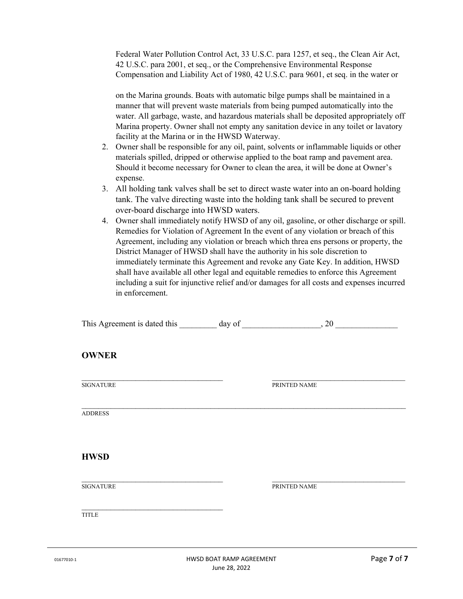Federal Water Pollution Control Act, 33 U.S.C. para 1257, et seq., the Clean Air Act, 42 U.S.C. para 2001, et seq., or the Comprehensive Environmental Response Compensation and Liability Act of 1980, 42 U.S.C. para 9601, et seq. in the water or

on the Marina grounds. Boats with automatic bilge pumps shall be maintained in a manner that will prevent waste materials from being pumped automatically into the water. All garbage, waste, and hazardous materials shall be deposited appropriately off Marina property. Owner shall not empty any sanitation device in any toilet or lavatory facility at the Marina or in the HWSD Waterway.

- 2. Owner shall be responsible for any oil, paint, solvents or inflammable liquids or other materials spilled, dripped or otherwise applied to the boat ramp and pavement area. Should it become necessary for Owner to clean the area, it will be done at Owner's expense.
- 3. All holding tank valves shall be set to direct waste water into an on-board holding tank. The valve directing waste into the holding tank shall be secured to prevent over-board discharge into HWSD waters.
- 4. Owner shall immediately notify HWSD of any oil, gasoline, or other discharge or spill. Remedies for Violation of Agreement In the event of any violation or breach of this Agreement, including any violation or breach which threa ens persons or property, the District Manager of HWSD shall have the authority in his sole discretion to immediately terminate this Agreement and revoke any Gate Key. In addition, HWSD shall have available all other legal and equitable remedies to enforce this Agreement including a suit for injunctive relief and/or damages for all costs and expenses incurred in enforcement.

| This Agreement is dated this | dav of |  |
|------------------------------|--------|--|
|                              |        |  |

#### **OWNER**

\_\_\_\_\_\_\_\_\_\_\_\_\_\_\_\_\_\_\_\_\_\_\_\_\_\_\_\_\_\_\_\_\_\_ \_\_\_\_\_\_\_\_\_\_\_\_\_\_\_\_\_\_\_\_\_\_\_\_\_\_\_\_\_\_\_\_ SIGNATURE PRINTED NAME

\_\_\_\_\_\_\_\_\_\_\_\_\_\_\_\_\_\_\_\_\_\_\_\_\_\_\_\_\_\_\_\_\_\_\_\_\_\_\_\_\_\_\_\_\_\_\_\_\_\_\_\_\_\_\_\_\_\_\_\_\_\_\_\_\_\_\_\_\_\_\_\_\_\_\_\_\_\_ ADDRESS

**HWSD** 

 $\mathcal{L}_\text{max}$ 

 $\begin{tabular}{c} SIGNATURE \end{tabular} \begin{tabular}{c} \multicolumn{2}{c} \textbf{1G} & \multicolumn{2}{c} \textbf{1G} & \multicolumn{2}{c} \textbf{1G} & \multicolumn{2}{c} \textbf{1G} & \multicolumn{2}{c} \textbf{1G} & \multicolumn{2}{c} \textbf{1G} & \multicolumn{2}{c} \textbf{1G} & \multicolumn{2}{c} \textbf{1G} & \multicolumn{2}{c} \textbf{1G} & \multicolumn{2}{c} \textbf{1G} & \multicolumn{2}{c} \textbf{1G} & \multicolumn{2}{c}$ 

TITLE<sub></sub>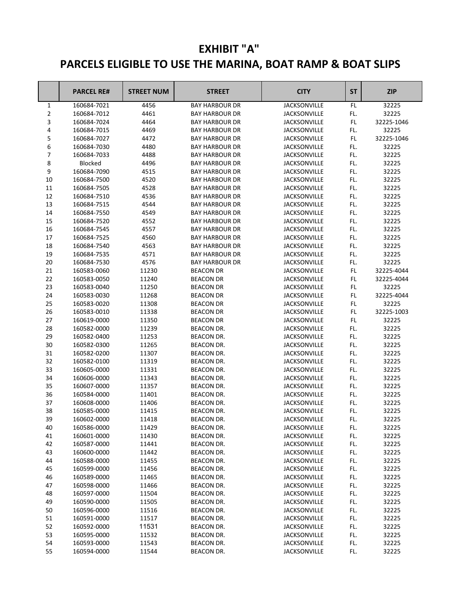|                         | <b>PARCEL RE#</b> | <b>STREET NUM</b> | <b>STREET</b><br><b>CITY</b>            |                                          | <b>ST</b> | <b>ZIP</b> |  |
|-------------------------|-------------------|-------------------|-----------------------------------------|------------------------------------------|-----------|------------|--|
| 1                       | 160684-7021       | 4456              | <b>BAY HARBOUR DR</b>                   | <b>JACKSONVILLE</b>                      |           | 32225      |  |
| $\overline{\mathbf{c}}$ | 160684-7012       | 4461              | <b>BAY HARBOUR DR</b>                   | <b>JACKSONVILLE</b>                      | FL.       | 32225      |  |
| 3                       | 160684-7024       | 4464              | <b>BAY HARBOUR DR</b>                   | <b>JACKSONVILLE</b><br>FL.               |           |            |  |
| 4                       | 160684-7015       | 4469              | <b>BAY HARBOUR DR</b>                   | <b>JACKSONVILLE</b><br>FL.               |           | 32225      |  |
| 5                       | 160684-7027       | 4472              | <b>BAY HARBOUR DR</b>                   | <b>JACKSONVILLE</b>                      | FL        | 32225-1046 |  |
| 6                       | 160684-7030       | 4480              | <b>BAY HARBOUR DR</b>                   | <b>JACKSONVILLE</b>                      | FL.       | 32225      |  |
| 7                       | 160684-7033       | 4488              | <b>BAY HARBOUR DR</b>                   | <b>JACKSONVILLE</b>                      | FL.       | 32225      |  |
| 8                       | <b>Blocked</b>    | 4496              | <b>BAY HARBOUR DR</b>                   | <b>JACKSONVILLE</b>                      | FL.       | 32225      |  |
| 9                       | 160684-7090       | 4515              | <b>BAY HARBOUR DR</b>                   | <b>JACKSONVILLE</b>                      | FL.       | 32225      |  |
| 10                      | 160684-7500       | 4520              | <b>BAY HARBOUR DR</b>                   | <b>JACKSONVILLE</b>                      | FL.       | 32225      |  |
| 11                      | 160684-7505       | 4528              | <b>BAY HARBOUR DR</b>                   | <b>JACKSONVILLE</b>                      | FL.       | 32225      |  |
| 12                      | 160684-7510       | 4536              | <b>BAY HARBOUR DR</b>                   | <b>JACKSONVILLE</b>                      | FL.       | 32225      |  |
| 13                      | 160684-7515       | 4544              | <b>BAY HARBOUR DR</b>                   | <b>JACKSONVILLE</b>                      | FL.       | 32225      |  |
| 14                      | 160684-7550       | 4549              | <b>BAY HARBOUR DR</b>                   | <b>JACKSONVILLE</b>                      | FL.       | 32225      |  |
| 15                      | 160684-7520       | 4552              | <b>BAY HARBOUR DR</b>                   | <b>JACKSONVILLE</b>                      | FL.       | 32225      |  |
| 16                      | 160684-7545       | 4557              | <b>BAY HARBOUR DR</b>                   | <b>JACKSONVILLE</b>                      | FL.       | 32225      |  |
| 17                      | 160684-7525       | 4560              | <b>BAY HARBOUR DR</b>                   | <b>JACKSONVILLE</b>                      | FL.       | 32225      |  |
| 18                      | 160684-7540       | 4563              | <b>BAY HARBOUR DR</b>                   | <b>JACKSONVILLE</b>                      | FL.       | 32225      |  |
| 19                      | 160684-7535       | 4571              | <b>BAY HARBOUR DR</b>                   | <b>JACKSONVILLE</b>                      | FL.       | 32225      |  |
| 20                      | 160684-7530       | 4576              | <b>BAY HARBOUR DR</b>                   | <b>JACKSONVILLE</b>                      | FL.       | 32225      |  |
| 21                      | 160583-0060       | 11230             | <b>BEACON DR</b>                        | <b>JACKSONVILLE</b>                      | FL        | 32225-4044 |  |
| 22                      | 160583-0050       | 11240             | <b>BEACON DR</b>                        | <b>JACKSONVILLE</b>                      | FL        | 32225-4044 |  |
| 23                      | 160583-0040       | 11250             | <b>BEACON DR</b>                        | <b>JACKSONVILLE</b>                      | FL.       | 32225      |  |
| 24                      | 160583-0030       | 11268             | <b>BEACON DR</b>                        | <b>JACKSONVILLE</b>                      | FL.       | 32225-4044 |  |
| 25                      | 160583-0020       | 11308             | <b>BEACON DR</b>                        | <b>JACKSONVILLE</b><br>FL                |           | 32225      |  |
| 26                      | 160583-0010       | 11338             | <b>BEACON DR</b><br><b>JACKSONVILLE</b> |                                          | FL        | 32225-1003 |  |
| 27                      | 160619-0000       | 11350             | <b>BEACON DR</b>                        | FL.<br><b>JACKSONVILLE</b>               |           | 32225      |  |
| 28                      | 160582-0000       | 11239             | <b>BEACON DR.</b>                       | <b>JACKSONVILLE</b><br>FL.               |           | 32225      |  |
| 29                      | 160582-0400       | 11253             | <b>BEACON DR.</b>                       | FL.<br><b>JACKSONVILLE</b>               |           | 32225      |  |
| 30                      | 160582-0300       | 11265             | BEACON DR.                              | <b>JACKSONVILLE</b>                      | FL.       | 32225      |  |
| 31                      | 160582-0200       | 11307             | <b>BEACON DR.</b>                       | <b>JACKSONVILLE</b>                      | FL.       | 32225      |  |
| 32                      | 160582-0100       | 11319             | <b>BEACON DR.</b>                       | <b>JACKSONVILLE</b>                      | FL.       | 32225      |  |
| 33                      | 160605-0000       | 11331             | <b>BEACON DR.</b>                       | <b>JACKSONVILLE</b>                      | FL.       | 32225      |  |
| 34                      | 160606-0000       | 11343             | <b>BEACON DR.</b>                       | <b>JACKSONVILLE</b>                      | FL.       | 32225      |  |
| 35                      | 160607-0000       | 11357             | <b>BEACON DR.</b>                       | <b>JACKSONVILLE</b>                      | FL.       | 32225      |  |
| 36                      | 160584-0000       | 11401             | <b>BEACON DR.</b>                       | JACKSONVILLE                             | FL.       | 32225      |  |
| 37                      | 160608-0000       | 11406             | BEACON DR.                              | <b>JACKSONVILLE</b>                      | FL.       | 32225      |  |
| 38                      | 160585-0000       | 11415             | BEACON DR.                              | FL.<br><b>JACKSONVILLE</b>               |           | 32225      |  |
| 39                      | 160602-0000       | 11418             |                                         | <b>BEACON DR.</b><br>JACKSONVILLE<br>FL. |           | 32225      |  |
| 40                      | 160586-0000       | 11429             | <b>BEACON DR.</b>                       | <b>JACKSONVILLE</b>                      | FL.       | 32225      |  |
| 41                      | 160601-0000       | 11430             | <b>BEACON DR.</b>                       | <b>JACKSONVILLE</b>                      | FL.       | 32225      |  |
| 42                      | 160587-0000       | 11441             | <b>BEACON DR.</b>                       | <b>JACKSONVILLE</b>                      | FL.       | 32225      |  |
| 43                      | 160600-0000       | 11442             | <b>BEACON DR.</b>                       | <b>JACKSONVILLE</b>                      | FL.       | 32225      |  |
| 44                      | 160588-0000       | 11455             | <b>BEACON DR.</b>                       | FL.<br><b>JACKSONVILLE</b>               |           | 32225      |  |
| 45                      | 160599-0000       | 11456             | <b>BEACON DR.</b>                       | FL.<br><b>JACKSONVILLE</b>               |           | 32225      |  |
| 46                      | 160589-0000       | 11465             | <b>BEACON DR.</b>                       | JACKSONVILLE                             | FL.       | 32225      |  |
| 47                      | 160598-0000       | 11466             | <b>BEACON DR.</b>                       | <b>JACKSONVILLE</b>                      | FL.       | 32225      |  |
| 48                      | 160597-0000       | 11504             | <b>BEACON DR.</b>                       | <b>JACKSONVILLE</b>                      | FL.       | 32225      |  |
| 49                      | 160590-0000       | 11505             | <b>BEACON DR.</b>                       | <b>JACKSONVILLE</b>                      | FL.       | 32225      |  |
| 50                      | 160596-0000       | 11516             | <b>BEACON DR.</b>                       | <b>JACKSONVILLE</b>                      | FL.       | 32225      |  |
| 51                      | 160591-0000       | 11517             | <b>BEACON DR.</b>                       | <b>JACKSONVILLE</b>                      | FL.       | 32225      |  |
| 52                      | 160592-0000       | 11531             | <b>BEACON DR.</b>                       | <b>JACKSONVILLE</b>                      | FL.       | 32225      |  |
| 53                      | 160595-0000       | 11532             | <b>BEACON DR.</b>                       | <b>JACKSONVILLE</b>                      | FL.       | 32225      |  |
| 54                      | 160593-0000       | 11543             | <b>BEACON DR.</b>                       | <b>JACKSONVILLE</b>                      | FL.       | 32225      |  |
| 55                      | 160594-0000       | 11544             | BEACON DR.                              | JACKSONVILLE                             | FL.       | 32225      |  |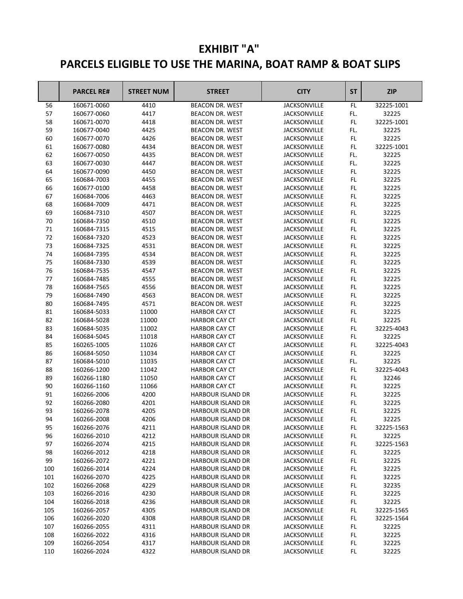|     | <b>PARCEL RE#</b> | <b>STREET NUM</b> | <b>STREET</b><br><b>CITY</b>                    |                           | <b>ST</b>     | <b>ZIP</b> |
|-----|-------------------|-------------------|-------------------------------------------------|---------------------------|---------------|------------|
| 56  | 160671-0060       | 4410              | <b>BEACON DR. WEST</b>                          | <b>JACKSONVILLE</b>       | FL.           | 32225-1001 |
| 57  | 160677-0060       | 4417              | <b>BEACON DR. WEST</b>                          | <b>JACKSONVILLE</b>       | FL.           | 32225      |
| 58  | 160671-0070       | 4418              | <b>BEACON DR. WEST</b>                          | JACKSONVILLE              | FL            | 32225-1001 |
| 59  | 160677-0040       | 4425              | <b>BEACON DR. WEST</b>                          | <b>JACKSONVILLE</b>       | FL.           | 32225      |
| 60  | 160677-0070       | 4426              | <b>BEACON DR. WEST</b>                          | <b>JACKSONVILLE</b>       | FL.           | 32225      |
| 61  | 160677-0080       | 4434              | BEACON DR. WEST                                 | JACKSONVILLE              | FL            | 32225-1001 |
| 62  | 160677-0050       | 4435              | <b>BEACON DR. WEST</b>                          | <b>JACKSONVILLE</b>       | FL.           | 32225      |
| 63  | 160677-0030       | 4447              | <b>BEACON DR. WEST</b>                          | <b>JACKSONVILLE</b>       | FL.           | 32225      |
| 64  | 160677-0090       | 4450              | <b>BEACON DR. WEST</b>                          | JACKSONVILLE              | FL            | 32225      |
| 65  | 160684-7003       | 4455              | <b>BEACON DR. WEST</b>                          | <b>JACKSONVILLE</b>       | FL.           | 32225      |
| 66  | 160677-0100       | 4458              | <b>BEACON DR. WEST</b>                          | JACKSONVILLE              | FL            | 32225      |
| 67  | 160684-7006       | 4463              | <b>BEACON DR. WEST</b>                          | JACKSONVILLE              | FL            | 32225      |
| 68  | 160684-7009       | 4471              | <b>BEACON DR. WEST</b>                          | JACKSONVILLE              | $\mathsf{FL}$ | 32225      |
| 69  | 160684-7310       | 4507              | BEACON DR. WEST                                 | JACKSONVILLE              | FL.           | 32225      |
| 70  | 160684-7350       | 4510              | <b>BEACON DR. WEST</b>                          | <b>JACKSONVILLE</b>       | FL            | 32225      |
| 71  | 160684-7315       | 4515              | <b>BEACON DR. WEST</b>                          | <b>JACKSONVILLE</b>       | $\mathsf{FL}$ | 32225      |
| 72  | 160684-7320       | 4523              | <b>BEACON DR. WEST</b>                          | JACKSONVILLE              | FL.           | 32225      |
| 73  | 160684-7325       | 4531              | <b>BEACON DR. WEST</b>                          | <b>JACKSONVILLE</b>       | FL            | 32225      |
| 74  | 160684-7395       | 4534              | <b>BEACON DR. WEST</b>                          | <b>JACKSONVILLE</b>       | FL            | 32225      |
| 75  | 160684-7330       | 4539              | BEACON DR. WEST                                 | JACKSONVILLE              | FL.           | 32225      |
| 76  | 160684-7535       | 4547              | <b>BEACON DR. WEST</b>                          | JACKSONVILLE              | FL            | 32225      |
| 77  | 160684-7485       | 4555              | BEACON DR. WEST                                 | JACKSONVILLE              | FL.           | 32225      |
| 78  | 160684-7565       | 4556              | BEACON DR. WEST                                 | JACKSONVILLE              | $\mathsf{FL}$ | 32225      |
| 79  | 160684-7490       | 4563              | <b>BEACON DR. WEST</b>                          | <b>JACKSONVILLE</b>       | FL            | 32225      |
| 80  | 160684-7495       | 4571              | <b>BEACON DR. WEST</b><br><b>JACKSONVILLE</b>   |                           | FL.           | 32225      |
| 81  | 160684-5033       | 11000             | <b>HARBOR CAY CT</b><br><b>JACKSONVILLE</b>     |                           | FL            | 32225      |
| 82  | 160684-5028       | 11000             | <b>HARBOR CAY CT</b><br><b>JACKSONVILLE</b>     |                           | FL.           | 32225      |
| 83  | 160684-5035       | 11002             | <b>HARBOR CAY CT</b><br>JACKSONVILLE            |                           | FL            | 32225-4043 |
| 84  | 160684-5045       | 11018             | <b>HARBOR CAY CT</b><br>JACKSONVILLE            |                           | FL            | 32225      |
| 85  | 160265-1005       | 11026             | <b>HARBOR CAY CT</b>                            | <b>JACKSONVILLE</b>       | FL.           | 32225-4043 |
| 86  | 160684-5050       | 11034             | <b>HARBOR CAY CT</b>                            | JACKSONVILLE              | FL.           | 32225      |
| 87  | 160684-5010       | 11035             | <b>HARBOR CAY CT</b>                            | JACKSONVILLE              | FL.           | 32225      |
| 88  | 160266-1200       | 11042             | <b>HARBOR CAY CT</b>                            | JACKSONVILLE              | FL.           | 32225-4043 |
| 89  | 160266-1180       | 11050             | <b>HARBOR CAY CT</b>                            | JACKSONVILLE              | FL.           | 32246      |
| 90  | 160266-1160       | 11066             | <b>HARBOR CAY CT</b>                            | JACKSONVILLE              | FL            | 32225      |
| 91  | 160266-2006       | 4200              | <b>HARBOUR ISLAND DR</b>                        | <b>JACKSONVILLE</b>       | FL            | 32225      |
| 92  | 160266-2080       | 4201              | <b>HARBOUR ISLAND DR</b>                        | <b>JACKSONVILLE</b>       | FL.           | 32225      |
| 93  | 160266-2078       | 4205              | <b>HARBOUR ISLAND DR</b><br><b>JACKSONVILLE</b> |                           | FL            | 32225      |
| 94  | 160266-2008       | 4206              | HARBOUR ISLAND DR                               | JACKSONVILLE              | FL.           | 32225      |
| 95  | 160266-2076       | 4211              | <b>HARBOUR ISLAND DR</b>                        | <b>JACKSONVILLE</b>       | FL.           | 32225-1563 |
| 96  | 160266-2010       | 4212              | HARBOUR ISLAND DR                               | <b>JACKSONVILLE</b>       | FL            | 32225      |
| 97  | 160266-2074       | 4215              | <b>HARBOUR ISLAND DR</b>                        | <b>JACKSONVILLE</b>       | FL.           | 32225-1563 |
| 98  | 160266-2012       | 4218              | <b>HARBOUR ISLAND DR</b>                        | <b>JACKSONVILLE</b><br>FL |               | 32225      |
| 99  | 160266-2072       | 4221              | <b>HARBOUR ISLAND DR</b><br><b>JACKSONVILLE</b> |                           | FL.           | 32225      |
| 100 | 160266-2014       | 4224              | <b>HARBOUR ISLAND DR</b><br><b>JACKSONVILLE</b> |                           | FL            | 32225      |
| 101 | 160266-2070       | 4225              | <b>HARBOUR ISLAND DR</b>                        | <b>JACKSONVILLE</b>       | FL            | 32225      |
| 102 | 160266-2068       | 4229              | <b>HARBOUR ISLAND DR</b><br><b>JACKSONVILLE</b> |                           | FL            | 32235      |
| 103 | 160266-2016       | 4230              | <b>HARBOUR ISLAND DR</b>                        | <b>JACKSONVILLE</b><br>FL |               | 32225      |
| 104 | 160266-2018       | 4236              | <b>HARBOUR ISLAND DR</b>                        | <b>JACKSONVILLE</b>       | FL            | 32225      |
| 105 | 160266-2057       | 4305              | <b>HARBOUR ISLAND DR</b>                        | <b>JACKSONVILLE</b>       | FL.           | 32225-1565 |
| 106 | 160266-2020       | 4308              | HARBOUR ISLAND DR                               | <b>JACKSONVILLE</b>       | FL            | 32225-1564 |
| 107 | 160266-2055       | 4311              | HARBOUR ISLAND DR                               | <b>JACKSONVILLE</b>       | FL            | 32225      |
| 108 | 160266-2022       | 4316              | <b>HARBOUR ISLAND DR</b>                        | JACKSONVILLE              | FL.           | 32225      |
| 109 | 160266-2054       | 4317              | <b>HARBOUR ISLAND DR</b>                        | <b>JACKSONVILLE</b>       | FL            | 32225      |
| 110 | 160266-2024       | 4322              | <b>HARBOUR ISLAND DR</b>                        | JACKSONVILLE              | FL            | 32225      |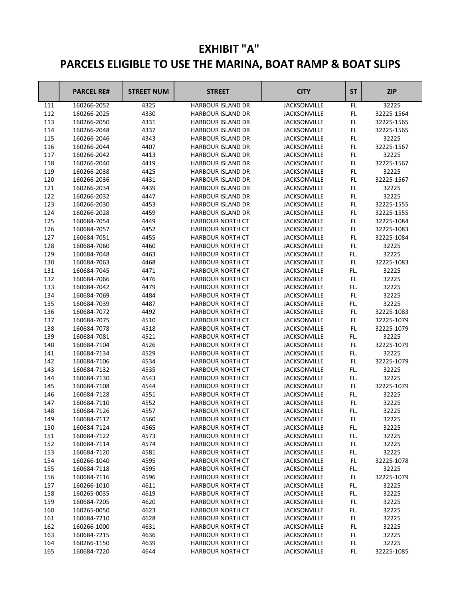|     | <b>PARCEL RE#</b> | <b>STREET NUM</b> | <b>CITY</b><br><b>STREET</b>                   |                            | <b>ST</b>     | <b>ZIP</b> |
|-----|-------------------|-------------------|------------------------------------------------|----------------------------|---------------|------------|
| 111 | 160266-2052       | 4325              | <b>HARBOUR ISLAND DR</b>                       | <b>JACKSONVILLE</b>        |               | 32225      |
| 112 | 160266-2025       | 4330              | <b>HARBOUR ISLAND DR</b>                       | <b>JACKSONVILLE</b>        | FL            | 32225-1564 |
| 113 | 160266-2050       | 4331              | <b>HARBOUR ISLAND DR</b>                       | <b>JACKSONVILLE</b><br>FL  |               | 32225-1565 |
| 114 | 160266-2048       | 4337              | <b>HARBOUR ISLAND DR</b>                       | <b>JACKSONVILLE</b><br>FL  |               | 32225-1565 |
| 115 | 160266-2046       | 4343              | HARBOUR ISLAND DR                              | <b>JACKSONVILLE</b>        | FL            | 32225      |
| 116 | 160266-2044       | 4407              | HARBOUR ISLAND DR                              | <b>JACKSONVILLE</b>        | FL            | 32225-1567 |
| 117 | 160266-2042       | 4413              | <b>HARBOUR ISLAND DR</b>                       | <b>JACKSONVILLE</b>        | $\mathsf{FL}$ | 32225      |
| 118 | 160266-2040       | 4419              | <b>HARBOUR ISLAND DR</b>                       | <b>JACKSONVILLE</b>        | $\mathsf{FL}$ | 32225-1567 |
| 119 | 160266-2038       | 4425              | <b>HARBOUR ISLAND DR</b>                       | <b>JACKSONVILLE</b>        | FL            | 32225      |
| 120 | 160266-2036       | 4431              | HARBOUR ISLAND DR                              | <b>JACKSONVILLE</b>        | FL            | 32225-1567 |
| 121 | 160266-2034       | 4439              | HARBOUR ISLAND DR                              | <b>JACKSONVILLE</b>        | FL            | 32225      |
| 122 | 160266-2032       | 4447              | <b>HARBOUR ISLAND DR</b>                       | <b>JACKSONVILLE</b>        | FL            | 32225      |
| 123 | 160266-2030       | 4453              | <b>HARBOUR ISLAND DR</b>                       | <b>JACKSONVILLE</b>        | FL            | 32225-1555 |
| 124 | 160266-2028       | 4459              | HARBOUR ISLAND DR                              | <b>JACKSONVILLE</b>        | FL            | 32225-1555 |
| 125 | 160684-7054       | 4449              | <b>HARBOUR NORTH CT</b>                        | <b>JACKSONVILLE</b>        | FL            | 32225-1084 |
| 126 | 160684-7057       | 4452              | <b>HARBOUR NORTH CT</b>                        | <b>JACKSONVILLE</b>        | FL            | 32225-1083 |
| 127 | 160684-7051       | 4455              | HARBOUR NORTH CT                               | <b>JACKSONVILLE</b>        | FL            | 32225-1084 |
| 128 | 160684-7060       | 4460              | HARBOUR NORTH CT                               | <b>JACKSONVILLE</b>        | FL            | 32225      |
| 129 | 160684-7048       | 4463              | <b>HARBOUR NORTH CT</b>                        | <b>JACKSONVILLE</b>        | FL.           | 32225      |
| 130 | 160684-7063       | 4468              | <b>HARBOUR NORTH CT</b>                        | <b>JACKSONVILLE</b>        | FL            | 32225-1083 |
| 131 | 160684-7045       | 4471              | <b>HARBOUR NORTH CT</b>                        | <b>JACKSONVILLE</b>        | FL.           | 32225      |
| 132 | 160684-7066       | 4476              | HARBOUR NORTH CT                               | <b>JACKSONVILLE</b>        | $\mathsf{FL}$ | 32225      |
| 133 | 160684-7042       | 4479              | HARBOUR NORTH CT                               | <b>JACKSONVILLE</b>        | FL.           | 32225      |
| 134 | 160684-7069       | 4484              | <b>HARBOUR NORTH CT</b>                        | <b>JACKSONVILLE</b>        | FL            | 32225      |
| 135 | 160684-7039       | 4487              | HARBOUR NORTH CT<br><b>JACKSONVILLE</b>        |                            | FL.           | 32225      |
| 136 | 160684-7072       | 4492              | <b>JACKSONVILLE</b><br><b>HARBOUR NORTH CT</b> |                            | FL            | 32225-1083 |
| 137 | 160684-7075       | 4510              | <b>HARBOUR NORTH CT</b><br><b>JACKSONVILLE</b> |                            | FL.           | 32225-1079 |
| 138 | 160684-7078       | 4518              | HARBOUR NORTH CT<br><b>JACKSONVILLE</b>        |                            | $\mathsf{FL}$ | 32225-1079 |
| 139 | 160684-7081       | 4521              | HARBOUR NORTH CT<br><b>JACKSONVILLE</b>        |                            | FL.           | 32225      |
| 140 | 160684-7104       | 4526              | <b>HARBOUR NORTH CT</b>                        | <b>JACKSONVILLE</b>        | FL            | 32225-1079 |
| 141 | 160684-7134       | 4529              | <b>HARBOUR NORTH CT</b>                        | <b>JACKSONVILLE</b>        | FL.           | 32225      |
| 142 | 160684-7106       | 4534              | <b>HARBOUR NORTH CT</b>                        | <b>JACKSONVILLE</b>        | FL.           | 32225-1079 |
| 143 | 160684-7132       | 4535              | HARBOUR NORTH CT                               | <b>JACKSONVILLE</b>        | FL.           | 32225      |
| 144 | 160684-7130       | 4543              | <b>HARBOUR NORTH CT</b>                        | <b>JACKSONVILLE</b>        | FL.           | 32225      |
| 145 | 160684-7108       | 4544              | HARBOUR NORTH CT                               | <b>JACKSONVILLE</b>        | FL            | 32225-1079 |
| 146 | 160684-7128       | 4551              | <b>HARBOUR NORTH CT</b>                        | <b>JACKSONVILLE</b>        | FL.           | 32225      |
| 147 | 160684-7110       | 4552              | <b>HARBOUR NORTH CT</b>                        | <b>JACKSONVILLE</b>        | FL            | 32225      |
| 148 | 160684-7126       | 4557              | <b>HARBOUR NORTH CT</b>                        | JACKSONVILLE<br>FL.        |               | 32225      |
| 149 | 160684-7112       | 4560              | HARBOUR NORTH CT                               | <b>JACKSONVILLE</b><br>FL  |               | 32225      |
| 150 | 160684-7124       | 4565              | <b>HARBOUR NORTH CT</b>                        | <b>JACKSONVILLE</b>        | FL.           | 32225      |
| 151 | 160684-7122       | 4573              | <b>HARBOUR NORTH CT</b>                        | <b>JACKSONVILLE</b>        | FL.           | 32225      |
| 152 | 160684-7114       | 4574              | <b>HARBOUR NORTH CT</b>                        | <b>JACKSONVILLE</b><br>FL. |               | 32225      |
| 153 | 160684-7120       | 4581              | <b>HARBOUR NORTH CT</b>                        | <b>JACKSONVILLE</b>        | FL.           | 32225      |
| 154 | 160266-1040       | 4595              | <b>HARBOUR NORTH CT</b><br><b>JACKSONVILLE</b> |                            | FL.           | 32225-1078 |
| 155 | 160684-7118       | 4595              | <b>HARBOUR NORTH CT</b><br><b>JACKSONVILLE</b> |                            | FL.           | 32225      |
| 156 | 160684-7116       | 4596              | <b>HARBOUR NORTH CT</b><br><b>JACKSONVILLE</b> |                            | FL.           | 32225-1079 |
| 157 | 160266-1010       | 4611              | <b>HARBOUR NORTH CT</b>                        | FL.<br><b>JACKSONVILLE</b> |               | 32225      |
| 158 | 160265-0035       | 4619              | <b>HARBOUR NORTH CT</b>                        | <b>JACKSONVILLE</b>        | FL.           | 32225      |
| 159 | 160684-7205       | 4620              | <b>HARBOUR NORTH CT</b>                        | <b>JACKSONVILLE</b>        | FL.           | 32225      |
| 160 | 160265-0050       | 4623              | HARBOUR NORTH CT                               | <b>JACKSONVILLE</b>        | FL.           | 32225      |
| 161 | 160684-7210       | 4628              | <b>HARBOUR NORTH CT</b>                        | <b>JACKSONVILLE</b>        | FL            | 32225      |
| 162 | 160266-1000       | 4631              | <b>HARBOUR NORTH CT</b>                        | <b>JACKSONVILLE</b>        | FL.           | 32225      |
| 163 | 160684-7215       | 4636              | <b>HARBOUR NORTH CT</b>                        | <b>JACKSONVILLE</b>        | FL            | 32225      |
| 164 | 160266-1150       | 4639              | <b>HARBOUR NORTH CT</b>                        | <b>JACKSONVILLE</b>        | FL            | 32225      |
| 165 | 160684-7220       | 4644              | <b>HARBOUR NORTH CT</b>                        | <b>JACKSONVILLE</b>        | FL            | 32225-1085 |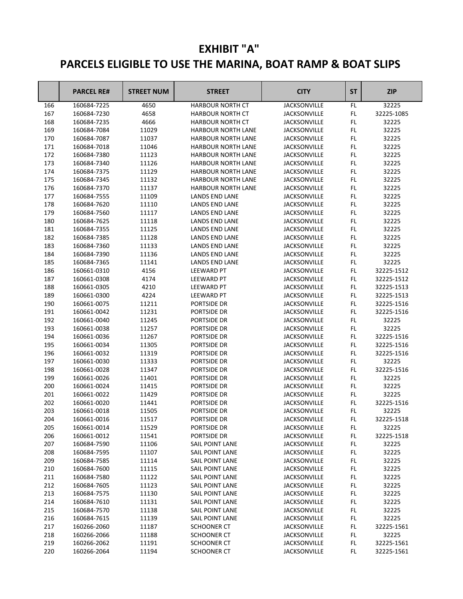|     | <b>PARCEL RE#</b> | <b>STREET NUM</b> | <b>CITY</b><br><b>STREET</b>                 |                     | <b>ST</b>           | <b>ZIP</b> |
|-----|-------------------|-------------------|----------------------------------------------|---------------------|---------------------|------------|
| 166 | 160684-7225       | 4650              | <b>HARBOUR NORTH CT</b>                      | <b>JACKSONVILLE</b> |                     | 32225      |
| 167 | 160684-7230       | 4658              | <b>HARBOUR NORTH CT</b>                      | <b>JACKSONVILLE</b> | FL                  | 32225-1085 |
| 168 | 160684-7235       | 4666              | <b>HARBOUR NORTH CT</b>                      | <b>JACKSONVILLE</b> | FL                  | 32225      |
| 169 | 160684-7084       | 11029             | HARBOUR NORTH LANE                           | <b>JACKSONVILLE</b> | FL                  | 32225      |
| 170 | 160684-7087       | 11037             | HARBOUR NORTH LANE                           | <b>JACKSONVILLE</b> | FL                  | 32225      |
| 171 | 160684-7018       | 11046             | <b>HARBOUR NORTH LANE</b>                    | <b>JACKSONVILLE</b> | $\mathsf{FL}$       | 32225      |
| 172 | 160684-7380       | 11123             | HARBOUR NORTH LANE                           | <b>JACKSONVILLE</b> | $\mathsf{FL}$       | 32225      |
| 173 | 160684-7340       | 11126             | HARBOUR NORTH LANE                           | <b>JACKSONVILLE</b> | $\mathsf{FL}$       | 32225      |
| 174 | 160684-7375       | 11129             | <b>HARBOUR NORTH LANE</b>                    | <b>JACKSONVILLE</b> | FL                  | 32225      |
| 175 | 160684-7345       | 11132             | HARBOUR NORTH LANE                           | <b>JACKSONVILLE</b> | FL                  | 32225      |
| 176 | 160684-7370       | 11137             | HARBOUR NORTH LANE                           | <b>JACKSONVILLE</b> | FL                  | 32225      |
| 177 | 160684-7555       | 11109             | <b>LANDS END LANE</b>                        | <b>JACKSONVILLE</b> | FL                  | 32225      |
| 178 | 160684-7620       | 11110             | <b>LANDS END LANE</b>                        | <b>JACKSONVILLE</b> | FL                  | 32225      |
| 179 | 160684-7560       | 11117             | <b>LANDS END LANE</b>                        | <b>JACKSONVILLE</b> | FL                  | 32225      |
| 180 | 160684-7625       | 11118             | <b>LANDS END LANE</b>                        | <b>JACKSONVILLE</b> | FL                  | 32225      |
| 181 | 160684-7355       | 11125             | <b>LANDS END LANE</b>                        | <b>JACKSONVILLE</b> | FL                  | 32225      |
| 182 | 160684-7385       | 11128             | <b>LANDS END LANE</b>                        | <b>JACKSONVILLE</b> | $\mathsf{FL}$       | 32225      |
| 183 | 160684-7360       | 11133             | <b>LANDS END LANE</b>                        | <b>JACKSONVILLE</b> | $\mathsf{FL}$       | 32225      |
| 184 | 160684-7390       | 11136             | <b>LANDS END LANE</b>                        | <b>JACKSONVILLE</b> | $\mathsf{FL}$       | 32225      |
| 185 | 160684-7365       | 11141             | <b>LANDS END LANE</b>                        | <b>JACKSONVILLE</b> | FL                  | 32225      |
| 186 | 160661-0310       | 4156              | <b>LEEWARD PT</b>                            | <b>JACKSONVILLE</b> | FL                  | 32225-1512 |
| 187 | 160661-0308       | 4174              | LEEWARD PT                                   | <b>JACKSONVILLE</b> | FL                  | 32225-1512 |
| 188 | 160661-0305       | 4210              | <b>LEEWARD PT</b>                            | <b>JACKSONVILLE</b> | FL                  | 32225-1513 |
| 189 | 160661-0300       | 4224              | LEEWARD PT                                   | <b>JACKSONVILLE</b> |                     | 32225-1513 |
| 190 | 160661-0075       | 11211             | PORTSIDE DR                                  | <b>JACKSONVILLE</b> |                     | 32225-1516 |
| 191 | 160661-0042       | 11231             | PORTSIDE DR<br><b>JACKSONVILLE</b>           |                     | FL<br>FL            | 32225-1516 |
| 192 | 160661-0040       | 11245             | PORTSIDE DR<br><b>JACKSONVILLE</b>           |                     | FL.                 | 32225      |
| 193 | 160661-0038       | 11257             | PORTSIDE DR<br><b>JACKSONVILLE</b>           |                     | FL                  | 32225      |
| 194 | 160661-0036       | 11267             | PORTSIDE DR<br><b>JACKSONVILLE</b>           |                     | FL                  | 32225-1516 |
| 195 | 160661-0034       | 11305             | PORTSIDE DR                                  | <b>JACKSONVILLE</b> | FL                  | 32225-1516 |
| 196 | 160661-0032       | 11319             | PORTSIDE DR                                  | JACKSONVILLE        | FL                  | 32225-1516 |
| 197 | 160661-0030       | 11333             | PORTSIDE DR                                  | <b>JACKSONVILLE</b> | FL                  | 32225      |
| 198 | 160661-0028       | 11347             | PORTSIDE DR                                  | <b>JACKSONVILLE</b> | FL                  | 32225-1516 |
| 199 | 160661-0026       | 11401             | PORTSIDE DR                                  | <b>JACKSONVILLE</b> | FL                  | 32225      |
| 200 | 160661-0024       | 11415             | PORTSIDE DR                                  | <b>JACKSONVILLE</b> | FL                  | 32225      |
| 201 | 160661-0022       | 11429             | PORTSIDE DR                                  | <b>JACKSONVILLE</b> | FL                  | 32225      |
| 202 | 160661-0020       | 11441             | PORTSIDE DR                                  | <b>JACKSONVILLE</b> | FL                  | 32225-1516 |
| 203 | 160661-0018       | 11505             | PORTSIDE DR                                  | <b>JACKSONVILLE</b> |                     | 32225      |
| 204 | 160661-0016       | 11517             | PORTSIDE DR                                  | <b>JACKSONVILLE</b> |                     | 32225-1518 |
| 205 | 160661-0014       | 11529             | PORTSIDE DR                                  | <b>JACKSONVILLE</b> | $\mathsf{FL}$<br>FL | 32225      |
| 206 | 160661-0012       | 11541             | <b>PORTSIDE DR</b>                           | <b>JACKSONVILLE</b> | FL                  | 32225-1518 |
| 207 | 160684-7590       | 11106             | <b>SAIL POINT LANE</b>                       | <b>JACKSONVILLE</b> | FL                  | 32225      |
| 208 | 160684-7595       | 11107             | SAIL POINT LANE                              | <b>JACKSONVILLE</b> | FL                  | 32225      |
| 209 | 160684-7585       | 11114             | SAIL POINT LANE<br><b>JACKSONVILLE</b>       |                     | FL                  | 32225      |
| 210 | 160684-7600       | 11115             | JACKSONVILLE<br>SAIL POINT LANE              |                     | FL                  | 32225      |
| 211 | 160684-7580       | 11122             | SAIL POINT LANE<br><b>JACKSONVILLE</b>       |                     | FL                  | 32225      |
| 212 | 160684-7605       | 11123             | SAIL POINT LANE                              | <b>JACKSONVILLE</b> |                     | 32225      |
| 213 | 160684-7575       | 11130             | FL<br>SAIL POINT LANE<br><b>JACKSONVILLE</b> |                     | $\mathsf{FL}$       | 32225      |
| 214 | 160684-7610       | 11131             | SAIL POINT LANE                              | <b>JACKSONVILLE</b> | FL                  | 32225      |
| 215 | 160684-7570       | 11138             | SAIL POINT LANE                              | <b>JACKSONVILLE</b> | FL                  | 32225      |
| 216 | 160684-7615       | 11139             | SAIL POINT LANE                              | JACKSONVILLE        | FL                  | 32225      |
| 217 | 160266-2060       | 11187             | <b>SCHOONER CT</b>                           | <b>JACKSONVILLE</b> | FL.                 | 32225-1561 |
| 218 | 160266-2066       | 11188             | <b>SCHOONER CT</b>                           | <b>JACKSONVILLE</b> | FL.                 | 32225      |
| 219 | 160266-2062       | 11191             | <b>SCHOONER CT</b>                           | <b>JACKSONVILLE</b> | FL                  | 32225-1561 |
| 220 | 160266-2064       | 11194             | <b>SCHOONER CT</b>                           | <b>JACKSONVILLE</b> | FL                  | 32225-1561 |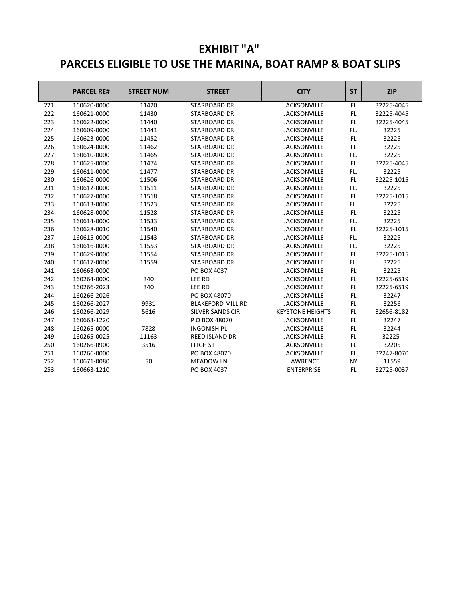|     | <b>PARCEL RE#</b> | <b>STREET NUM</b> | <b>STREET</b><br><b>CITY</b> |                         | <b>ST</b>  | <b>ZIP</b> |
|-----|-------------------|-------------------|------------------------------|-------------------------|------------|------------|
| 221 | 160620-0000       | 11420             | <b>STARBOARD DR</b>          | <b>JACKSONVILLE</b>     | FL         | 32225-4045 |
| 222 | 160621-0000       | 11430             | <b>STARBOARD DR</b>          | <b>JACKSONVILLE</b>     |            | 32225-4045 |
| 223 | 160622-0000       | 11440             | <b>STARBOARD DR</b>          | <b>JACKSONVILLE</b>     | FL.<br>FL. | 32225-4045 |
| 224 | 160609-0000       | 11441             | <b>STARBOARD DR</b>          | <b>JACKSONVILLE</b>     | FL.        | 32225      |
| 225 | 160623-0000       | 11452             | STARBOARD DR                 | <b>JACKSONVILLE</b>     | FL.        | 32225      |
| 226 | 160624-0000       | 11462             | <b>STARBOARD DR</b>          | <b>JACKSONVILLE</b>     | FL.        | 32225      |
| 227 | 160610-0000       | 11465             | <b>STARBOARD DR</b>          | <b>JACKSONVILLE</b>     | FL.        | 32225      |
| 228 | 160625-0000       | 11474             | <b>STARBOARD DR</b>          | <b>JACKSONVILLE</b>     | FL.        | 32225-4045 |
| 229 | 160611-0000       | 11477             | STARBOARD DR                 | <b>JACKSONVILLE</b>     | FL.        | 32225      |
| 230 | 160626-0000       | 11506             | <b>STARBOARD DR</b>          | <b>JACKSONVILLE</b>     | FL.        | 32225-1015 |
| 231 | 160612-0000       | 11511             | STARBOARD DR                 | <b>JACKSONVILLE</b>     | FL.        | 32225      |
| 232 | 160627-0000       | 11518             | <b>STARBOARD DR</b>          | <b>JACKSONVILLE</b>     | FL.        | 32225-1015 |
| 233 | 160613-0000       | 11523             | STARBOARD DR                 | <b>JACKSONVILLE</b>     | FL.        | 32225      |
| 234 | 160628-0000       | 11528             | <b>STARBOARD DR</b>          | <b>JACKSONVILLE</b>     | FL.        | 32225      |
| 235 | 160614-0000       | 11533             | <b>STARBOARD DR</b>          | <b>JACKSONVILLE</b>     | FL.        | 32225      |
| 236 | 160628-0010       | 11540             | <b>STARBOARD DR</b>          | <b>JACKSONVILLE</b>     | FL.        | 32225-1015 |
| 237 | 160615-0000       | 11543             | <b>STARBOARD DR</b>          | <b>JACKSONVILLE</b>     | FL.        | 32225      |
| 238 | 160616-0000       | 11553             | STARBOARD DR                 | <b>JACKSONVILLE</b>     | FL.        | 32225      |
| 239 | 160629-0000       | 11554             | <b>STARBOARD DR</b>          | <b>JACKSONVILLE</b>     | FL.        | 32225-1015 |
| 240 | 160617-0000       | 11559             | <b>STARBOARD DR</b>          | <b>JACKSONVILLE</b>     | FL.        | 32225      |
| 241 | 160663-0000       |                   | PO BOX 4037                  | <b>JACKSONVILLE</b>     | FL         | 32225      |
| 242 | 160264-0000       | 340               | LEE RD                       | <b>JACKSONVILLE</b>     | FL.        | 32225-6519 |
| 243 | 160266-2023       | 340               | LEE RD                       | <b>JACKSONVILLE</b>     | FL.        | 32225-6519 |
| 244 | 160266-2026       |                   | PO BOX 48070                 | <b>JACKSONVILLE</b>     | FL.        | 32247      |
| 245 | 160266-2027       | 9931              | <b>BLAKEFORD MILL RD</b>     | <b>JACKSONVILLE</b>     | FL.        | 32256      |
| 246 | 160266-2029       | 5616              | <b>SILVER SANDS CIR</b>      | <b>KEYSTONE HEIGHTS</b> | FL.        | 32656-8182 |
| 247 | 160663-1220       |                   | P O BOX 48070                | <b>JACKSONVILLE</b>     | FL.        | 32247      |
|     |                   |                   | <b>INGONISH PL</b>           |                         |            |            |
| 248 | 160265-0000       | 7828              |                              | <b>JACKSONVILLE</b>     | FL.        | 32244      |
| 249 | 160265-0025       | 11163             | <b>REED ISLAND DR</b>        | <b>JACKSONVILLE</b>     | FL.        | 32225-     |
| 250 | 160266-0900       | 3516              | FITCH ST                     | <b>JACKSONVILLE</b>     | FL.        | 32205      |
| 251 | 160266-0000       |                   | PO BOX 48070                 | <b>JACKSONVILLE</b>     | FL.        | 32247-8070 |
| 252 | 160671-0080       | 50                | <b>MEADOW LN</b>             | LAWRENCE                | <b>NY</b>  | 11559      |
| 253 | 160663-1210       |                   | PO BOX 4037                  | <b>ENTERPRISE</b>       | FL.        | 32725-0037 |